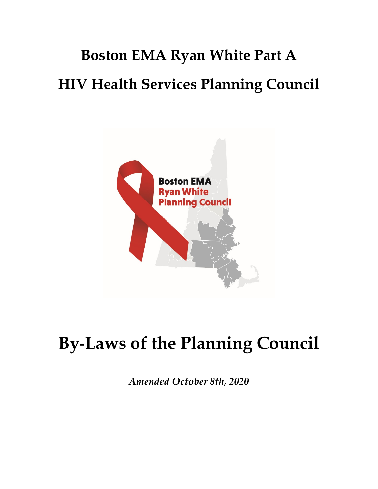# **Boston EMA Ryan White Part A HIV Health Services Planning Council**



# **By-Laws of the Planning Council**

*Amended October 8th, 2020*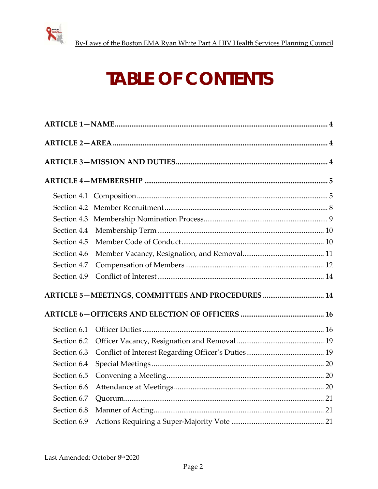

# **TABLE OF CONTENTS**

| Section 4.4 |                                                   |  |
|-------------|---------------------------------------------------|--|
| Section 4.5 |                                                   |  |
| Section 4.6 |                                                   |  |
| Section 4.7 |                                                   |  |
| Section 4.9 |                                                   |  |
|             | ARTICLE 5-MEETINGS, COMMITTEES AND PROCEDURES  14 |  |
|             |                                                   |  |
| Section 6.1 |                                                   |  |
| Section 6.2 |                                                   |  |
| Section 6.3 |                                                   |  |
| Section 6.4 |                                                   |  |
| Section 6.5 |                                                   |  |
| Section 6.6 |                                                   |  |
| Section 6.7 |                                                   |  |
| Section 6.8 |                                                   |  |
| Section 6.9 |                                                   |  |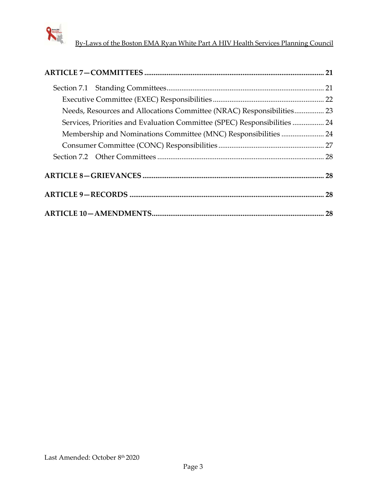

| Needs, Resources and Allocations Committee (NRAC) Responsibilities 23     |  |
|---------------------------------------------------------------------------|--|
| Services, Priorities and Evaluation Committee (SPEC) Responsibilities  24 |  |
|                                                                           |  |
|                                                                           |  |
|                                                                           |  |
|                                                                           |  |
|                                                                           |  |
|                                                                           |  |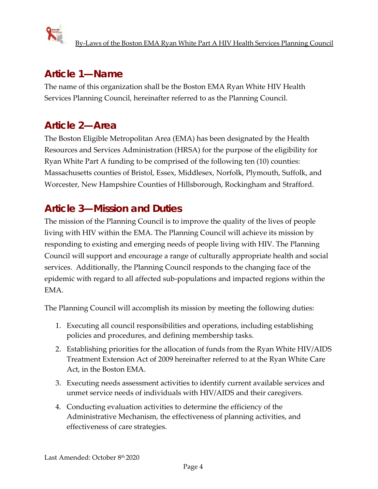

# **Article 1—Name**

The name of this organization shall be the Boston EMA Ryan White HIV Health Services Planning Council, hereinafter referred to as the Planning Council.

# **Article 2—Area**

The Boston Eligible Metropolitan Area (EMA) has been designated by the Health Resources and Services Administration (HRSA) for the purpose of the eligibility for Ryan White Part A funding to be comprised of the following ten (10) counties: Massachusetts counties of Bristol, Essex, Middlesex, Norfolk, Plymouth, Suffolk, and Worcester, New Hampshire Counties of Hillsborough, Rockingham and Strafford.

# **Article 3—Mission and Duties**

The mission of the Planning Council is to improve the quality of the lives of people living with HIV within the EMA. The Planning Council will achieve its mission by responding to existing and emerging needs of people living with HIV. The Planning Council will support and encourage a range of culturally appropriate health and social services. Additionally, the Planning Council responds to the changing face of the epidemic with regard to all affected sub-populations and impacted regions within the EMA.

The Planning Council will accomplish its mission by meeting the following duties:

- 1. Executing all council responsibilities and operations, including establishing policies and procedures, and defining membership tasks.
- 2. Establishing priorities for the allocation of funds from the Ryan White HIV/AIDS Treatment Extension Act of 2009 hereinafter referred to at the Ryan White Care Act, in the Boston EMA.
- 3. Executing needs assessment activities to identify current available services and unmet service needs of individuals with HIV/AIDS and their caregivers.
- 4. Conducting evaluation activities to determine the efficiency of the Administrative Mechanism, the effectiveness of planning activities, and effectiveness of care strategies.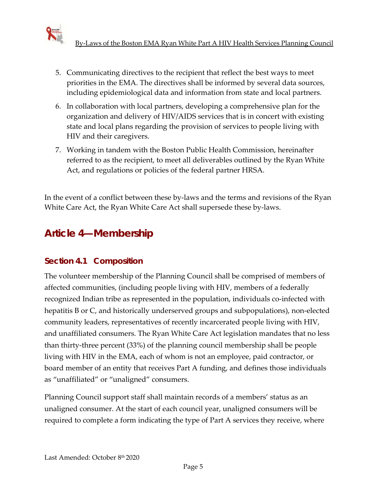

- 5. Communicating directives to the recipient that reflect the best ways to meet priorities in the EMA. The directives shall be informed by several data sources, including epidemiological data and information from state and local partners.
- 6. In collaboration with local partners, developing a comprehensive plan for the organization and delivery of HIV/AIDS services that is in concert with existing state and local plans regarding the provision of services to people living with HIV and their caregivers.
- 7. Working in tandem with the Boston Public Health Commission, hereinafter referred to as the recipient, to meet all deliverables outlined by the Ryan White Act, and regulations or policies of the federal partner HRSA.

In the event of a conflict between these by-laws and the terms and revisions of the Ryan White Care Act, the Ryan White Care Act shall supersede these by-laws.

# **Article 4—Membership**

## **Section 4.1 Composition**

The volunteer membership of the Planning Council shall be comprised of members of affected communities, (including people living with HIV, members of a federally recognized Indian tribe as represented in the population, individuals co-infected with hepatitis B or C, and historically underserved groups and subpopulations), non-elected community leaders, representatives of recently incarcerated people living with HIV, and unaffiliated consumers. The Ryan White Care Act legislation mandates that no less than thirty-three percent (33%) of the planning council membership shall be people living with HIV in the EMA, each of whom is not an employee, paid contractor, or board member of an entity that receives Part A funding, and defines those individuals as "unaffiliated" or "unaligned" consumers.

Planning Council support staff shall maintain records of a members' status as an unaligned consumer. At the start of each council year, unaligned consumers will be required to complete a form indicating the type of Part A services they receive, where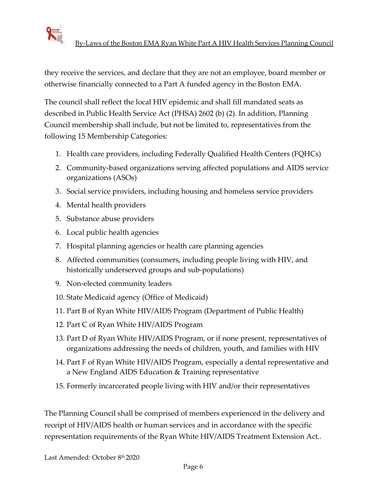

they receive the services, and declare that they are not an employee, board member or otherwise financially connected to a Part A funded agency in the Boston EMA.

The council shall reflect the local HIV epidemic and shall fill mandated seats as described in Public Health Service Act (PHSA) 2602 (b) (2). In addition, Planning Council membership shall include, but not be limited to, representatives from the following 15 Membership Categories:

- 1. Health care providers, including Federally Qualified Health Centers (FQHCs)
- 2. Community-based organizations serving affected populations and AIDS service organizations (ASOs)
- 3. Social service providers, including housing and homeless service providers
- 4. Mental health providers
- 5. Substance abuse providers
- 6. Local public health agencies
- 7. Hospital planning agencies or health care planning agencies
- 8. Affected communities (consumers, including people living with HIV, and historically underserved groups and sub-populations)
- 9. Non-elected community leaders
- 10. State Medicaid agency (Office of Medicaid)
- 11. Part B of Ryan White HIV/AIDS Program (Department of Public Health)
- 12. Part C of Ryan White HIV/AIDS Program
- 13. Part D of Ryan White HIV/AIDS Program, or if none present, representatives of organizations addressing the needs of children, youth, and families with HIV
- 14. Part F of Ryan White HIV/AIDS Program, especially a dental representative and a New England AIDS Education & Training representative
- 15. Formerly incarcerated people living with HIV and/or their representatives

The Planning Council shall be comprised of members experienced in the delivery and receipt of HIV/AIDS health or human services and in accordance with the specific representation requirements of the Ryan White HIV/AIDS Treatment Extension Act..

Last Amended: October 8th 2020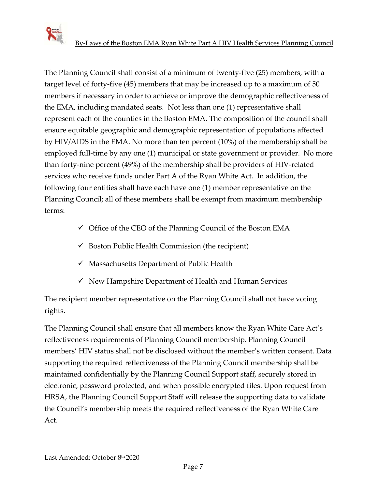

The Planning Council shall consist of a minimum of twenty-five (25) members, with a target level of forty-five (45) members that may be increased up to a maximum of 50 members if necessary in order to achieve or improve the demographic reflectiveness of the EMA, including mandated seats. Not less than one (1) representative shall represent each of the counties in the Boston EMA. The composition of the council shall ensure equitable geographic and demographic representation of populations affected by HIV/AIDS in the EMA. No more than ten percent (10%) of the membership shall be employed full-time by any one (1) municipal or state government or provider.No more than forty-nine percent (49%) of the membership shall be providers of HIV-related services who receive funds under Part A of the Ryan White Act. In addition, the following four entities shall have each have one (1) member representative on the Planning Council; all of these members shall be exempt from maximum membership terms:

- $\checkmark$  Office of the CEO of the Planning Council of the Boston EMA
- $\checkmark$  Boston Public Health Commission (the recipient)
- $\checkmark$  Massachusetts Department of Public Health
- $\checkmark$  New Hampshire Department of Health and Human Services

The recipient member representative on the Planning Council shall not have voting rights.

The Planning Council shall ensure that all members know the Ryan White Care Act's reflectiveness requirements of Planning Council membership. Planning Council members' HIV status shall not be disclosed without the member's written consent. Data supporting the required reflectiveness of the Planning Council membership shall be maintained confidentially by the Planning Council Support staff, securely stored in electronic, password protected, and when possible encrypted files. Upon request from HRSA, the Planning Council Support Staff will release the supporting data to validate the Council's membership meets the required reflectiveness of the Ryan White Care Act.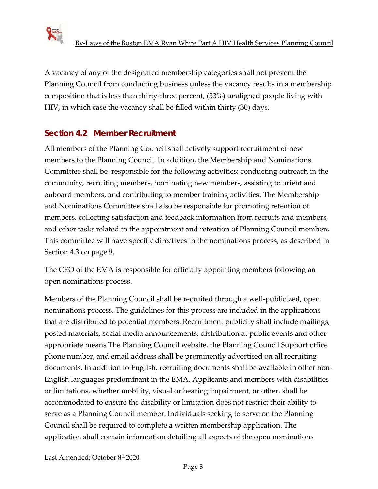

A vacancy of any of the designated membership categories shall not prevent the Planning Council from conducting business unless the vacancy results in a membership composition that is less than thirty-three percent, (33%) unaligned people living with HIV, in which case the vacancy shall be filled within thirty (30) days.

## **Section 4.2 Member Recruitment**

All members of the Planning Council shall actively support recruitment of new members to the Planning Council. In addition, the Membership and Nominations Committee shall be responsible for the following activities: conducting outreach in the community, recruiting members, nominating new members, assisting to orient and onboard members, and contributing to member training activities. The Membership and Nominations Committee shall also be responsible for promoting retention of members, collecting satisfaction and feedback information from recruits and members, and other tasks related to the appointment and retention of Planning Council members. This committee will have specific directives in the nominations process, as described in Section 4.3 on page 9.

The CEO of the EMA is responsible for officially appointing members following an open nominations process.

Members of the Planning Council shall be recruited through a well-publicized, open nominations process. The guidelines for this process are included in the applications that are distributed to potential members. Recruitment publicity shall include mailings, posted materials, social media announcements, distribution at public events and other appropriate means The Planning Council website, the Planning Council Support office phone number, and email address shall be prominently advertised on all recruiting documents. In addition to English, recruiting documents shall be available in other non-English languages predominant in the EMA. Applicants and members with disabilities or limitations, whether mobility, visual or hearing impairment, or other, shall be accommodated to ensure the disability or limitation does not restrict their ability to serve as a Planning Council member. Individuals seeking to serve on the Planning Council shall be required to complete a written membership application. The application shall contain information detailing all aspects of the open nominations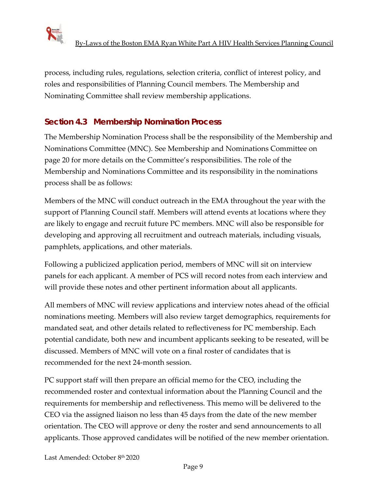

process, including rules, regulations, selection criteria, conflict of interest policy, and roles and responsibilities of Planning Council members. The Membership and Nominating Committee shall review membership applications.

## **Section 4.3 Membership Nomination Process**

The Membership Nomination Process shall be the responsibility of the Membership and Nominations Committee (MNC). See Membership and Nominations Committee on page 20 for more details on the Committee's responsibilities. The role of the Membership and Nominations Committee and its responsibility in the nominations process shall be as follows:

Members of the MNC will conduct outreach in the EMA throughout the year with the support of Planning Council staff. Members will attend events at locations where they are likely to engage and recruit future PC members. MNC will also be responsible for developing and approving all recruitment and outreach materials, including visuals, pamphlets, applications, and other materials.

Following a publicized application period, members of MNC will sit on interview panels for each applicant. A member of PCS will record notes from each interview and will provide these notes and other pertinent information about all applicants.

All members of MNC will review applications and interview notes ahead of the official nominations meeting. Members will also review target demographics, requirements for mandated seat, and other details related to reflectiveness for PC membership. Each potential candidate, both new and incumbent applicants seeking to be reseated, will be discussed. Members of MNC will vote on a final roster of candidates that is recommended for the next 24-month session.

PC support staff will then prepare an official memo for the CEO, including the recommended roster and contextual information about the Planning Council and the requirements for membership and reflectiveness. This memo will be delivered to the CEO via the assigned liaison no less than 45 days from the date of the new member orientation. The CEO will approve or deny the roster and send announcements to all applicants. Those approved candidates will be notified of the new member orientation.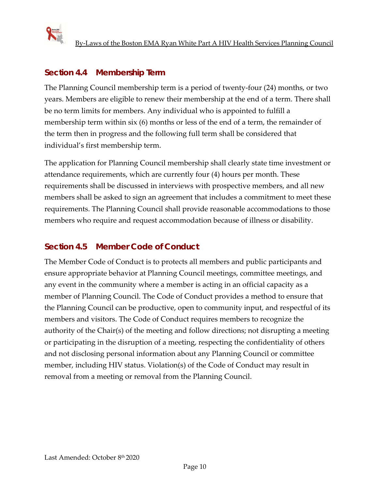

## **Section 4.4 Membership Term**

The Planning Council membership term is a period of twenty-four (24) months, or two years. Members are eligible to renew their membership at the end of a term. There shall be no term limits for members. Any individual who is appointed to fulfill a membership term within six (6) months or less of the end of a term, the remainder of the term then in progress and the following full term shall be considered that individual's first membership term.

The application for Planning Council membership shall clearly state time investment or attendance requirements, which are currently four (4) hours per month. These requirements shall be discussed in interviews with prospective members, and all new members shall be asked to sign an agreement that includes a commitment to meet these requirements. The Planning Council shall provide reasonable accommodations to those members who require and request accommodation because of illness or disability.

## **Section 4.5 Member Code of Conduct**

The Member Code of Conduct is to protects all members and public participants and ensure appropriate behavior at Planning Council meetings, committee meetings, and any event in the community where a member is acting in an official capacity as a member of Planning Council. The Code of Conduct provides a method to ensure that the Planning Council can be productive, open to community input, and respectful of its members and visitors. The Code of Conduct requires members to recognize the authority of the Chair(s) of the meeting and follow directions; not disrupting a meeting or participating in the disruption of a meeting, respecting the confidentiality of others and not disclosing personal information about any Planning Council or committee member, including HIV status. Violation(s) of the Code of Conduct may result in removal from a meeting or removal from the Planning Council.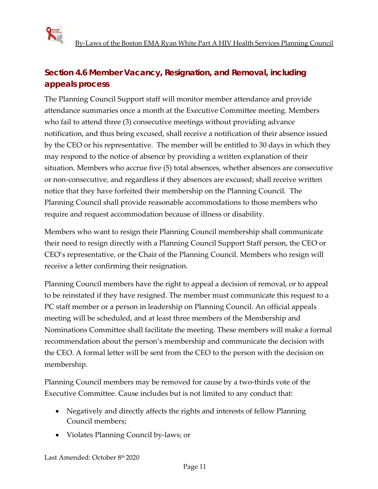

## **Section 4.6 Member Vacancy, Resignation, and Removal, including appeals process**

The Planning Council Support staff will monitor member attendance and provide attendance summaries once a month at the Executive Committee meeting. Members who fail to attend three (3) consecutive meetings without providing advance notification, and thus being excused, shall receive a notification of their absence issued by the CEO or his representative. The member will be entitled to 30 days in which they may respond to the notice of absence by providing a written explanation of their situation. Members who accrue five (5) total absences, whether absences are consecutive or non-consecutive, and regardless if they absences are excused; shall receive written notice that they have forfeited their membership on the Planning Council. The Planning Council shall provide reasonable accommodations to those members who require and request accommodation because of illness or disability.

Members who want to resign their Planning Council membership shall communicate their need to resign directly with a Planning Council Support Staff person, the CEO or CEO's representative, or the Chair of the Planning Council. Members who resign will receive a letter confirming their resignation.

Planning Council members have the right to appeal a decision of removal, or to appeal to be reinstated if they have resigned. The member must communicate this request to a PC staff member or a person in leadership on Planning Council. An official appeals meeting will be scheduled, and at least three members of the Membership and Nominations Committee shall facilitate the meeting. These members will make a formal recommendation about the person's membership and communicate the decision with the CEO. A formal letter will be sent from the CEO to the person with the decision on membership.

Planning Council members may be removed for cause by a two-thirds vote of the Executive Committee. Cause includes but is not limited to any conduct that:

- Negatively and directly affects the rights and interests of fellow Planning Council members;
- Violates Planning Council by-laws; or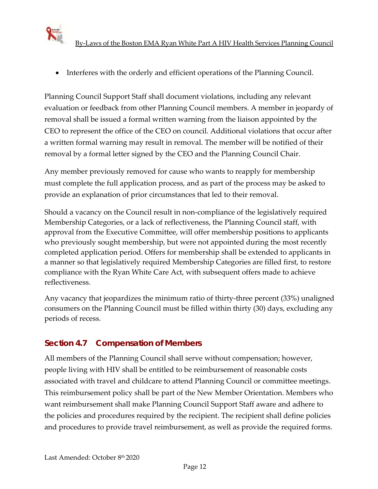

• Interferes with the orderly and efficient operations of the Planning Council.

Planning Council Support Staff shall document violations, including any relevant evaluation or feedback from other Planning Council members. A member in jeopardy of removal shall be issued a formal written warning from the liaison appointed by the CEO to represent the office of the CEO on council. Additional violations that occur after a written formal warning may result in removal. The member will be notified of their removal by a formal letter signed by the CEO and the Planning Council Chair.

Any member previously removed for cause who wants to reapply for membership must complete the full application process, and as part of the process may be asked to provide an explanation of prior circumstances that led to their removal.

Should a vacancy on the Council result in non-compliance of the legislatively required Membership Categories, or a lack of reflectiveness, the Planning Council staff, with approval from the Executive Committee, will offer membership positions to applicants who previously sought membership, but were not appointed during the most recently completed application period. Offers for membership shall be extended to applicants in a manner so that legislatively required Membership Categories are filled first, to restore compliance with the Ryan White Care Act, with subsequent offers made to achieve reflectiveness.

Any vacancy that jeopardizes the minimum ratio of thirty-three percent (33%) unaligned consumers on the Planning Council must be filled within thirty (30) days, excluding any periods of recess.

## **Section 4.7 Compensation of Members**

All members of the Planning Council shall serve without compensation; however, people living with HIV shall be entitled to be reimbursement of reasonable costs associated with travel and childcare to attend Planning Council or committee meetings. This reimbursement policy shall be part of the New Member Orientation. Members who want reimbursement shall make Planning Council Support Staff aware and adhere to the policies and procedures required by the recipient. The recipient shall define policies and procedures to provide travel reimbursement, as well as provide the required forms.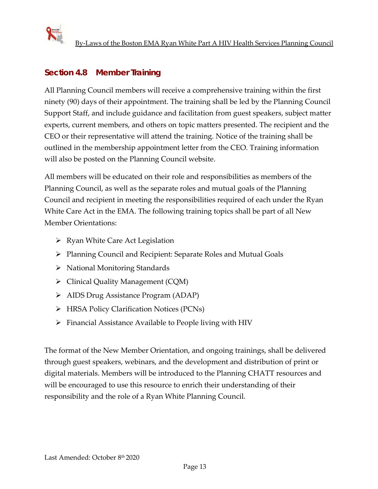

## **Section 4.8 Member Training**

All Planning Council members will receive a comprehensive training within the first ninety (90) days of their appointment. The training shall be led by the Planning Council Support Staff, and include guidance and facilitation from guest speakers, subject matter experts, current members, and others on topic matters presented. The recipient and the CEO or their representative will attend the training. Notice of the training shall be outlined in the membership appointment letter from the CEO. Training information will also be posted on the Planning Council website.

All members will be educated on their role and responsibilities as members of the Planning Council, as well as the separate roles and mutual goals of the Planning Council and recipient in meeting the responsibilities required of each under the Ryan White Care Act in the EMA. The following training topics shall be part of all New Member Orientations:

- $\triangleright$  Ryan White Care Act Legislation
- Planning Council and Recipient: Separate Roles and Mutual Goals
- $\triangleright$  National Monitoring Standards
- Clinical Quality Management (CQM)
- AIDS Drug Assistance Program (ADAP)
- HRSA Policy Clarification Notices (PCNs)
- $\triangleright$  Financial Assistance Available to People living with HIV

The format of the New Member Orientation, and ongoing trainings, shall be delivered through guest speakers, webinars, and the development and distribution of print or digital materials. Members will be introduced to the Planning CHATT resources and will be encouraged to use this resource to enrich their understanding of their responsibility and the role of a Ryan White Planning Council.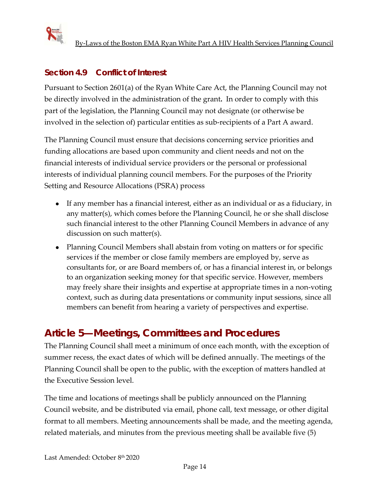

## **Section 4.9 Conflict of Interest**

Pursuant to Section 2601(a) of the Ryan White Care Act, the Planning Council may not be directly involved in the administration of the grant**.** In order to comply with this part of the legislation, the Planning Council may not designate (or otherwise be involved in the selection of) particular entities as sub-recipients of a Part A award.

The Planning Council must ensure that decisions concerning service priorities and funding allocations are based upon community and client needs and not on the financial interests of individual service providers or the personal or professional interests of individual planning council members. For the purposes of the Priority Setting and Resource Allocations (PSRA) process

- If any member has a financial interest, either as an individual or as a fiduciary, in any matter(s), which comes before the Planning Council, he or she shall disclose such financial interest to the other Planning Council Members in advance of any discussion on such matter(s).
- Planning Council Members shall abstain from voting on matters or for specific services if the member or close family members are employed by, serve as consultants for, or are Board members of, or has a financial interest in, or belongs to an organization seeking money for that specific service. However, members may freely share their insights and expertise at appropriate times in a non-voting context, such as during data presentations or community input sessions, since all members can benefit from hearing a variety of perspectives and expertise.

# **Article 5—Meetings, Committees and Procedures**

The Planning Council shall meet a minimum of once each month, with the exception of summer recess, the exact dates of which will be defined annually. The meetings of the Planning Council shall be open to the public, with the exception of matters handled at the Executive Session level.

The time and locations of meetings shall be publicly announced on the Planning Council website, and be distributed via email, phone call, text message, or other digital format to all members. Meeting announcements shall be made, and the meeting agenda, related materials, and minutes from the previous meeting shall be available five (5)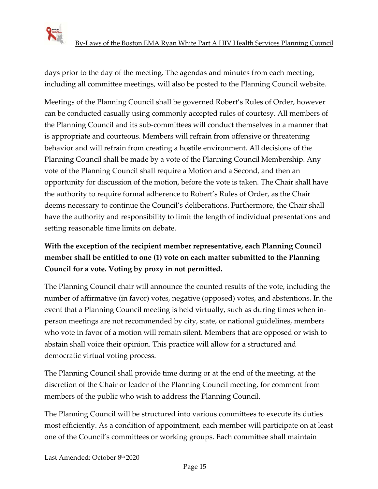

days prior to the day of the meeting. The agendas and minutes from each meeting, including all committee meetings, will also be posted to the Planning Council website.

Meetings of the Planning Council shall be governed Robert's Rules of Order, however can be conducted casually using commonly accepted rules of courtesy. All members of the Planning Council and its sub-committees will conduct themselves in a manner that is appropriate and courteous. Members will refrain from offensive or threatening behavior and will refrain from creating a hostile environment. All decisions of the Planning Council shall be made by a vote of the Planning Council Membership. Any vote of the Planning Council shall require a Motion and a Second, and then an opportunity for discussion of the motion, before the vote is taken. The Chair shall have the authority to require formal adherence to Robert's Rules of Order, as the Chair deems necessary to continue the Council's deliberations. Furthermore, the Chair shall have the authority and responsibility to limit the length of individual presentations and setting reasonable time limits on debate.

## **With the exception of the recipient member representative, each Planning Council member shall be entitled to one (1) vote on each matter submitted to the Planning Council for a vote. Voting by proxy in not permitted.**

The Planning Council chair will announce the counted results of the vote, including the number of affirmative (in favor) votes, negative (opposed) votes, and abstentions. In the event that a Planning Council meeting is held virtually, such as during times when inperson meetings are not recommended by city, state, or national guidelines, members who vote in favor of a motion will remain silent. Members that are opposed or wish to abstain shall voice their opinion. This practice will allow for a structured and democratic virtual voting process.

The Planning Council shall provide time during or at the end of the meeting, at the discretion of the Chair or leader of the Planning Council meeting, for comment from members of the public who wish to address the Planning Council.

The Planning Council will be structured into various committees to execute its duties most efficiently. As a condition of appointment, each member will participate on at least one of the Council's committees or working groups. Each committee shall maintain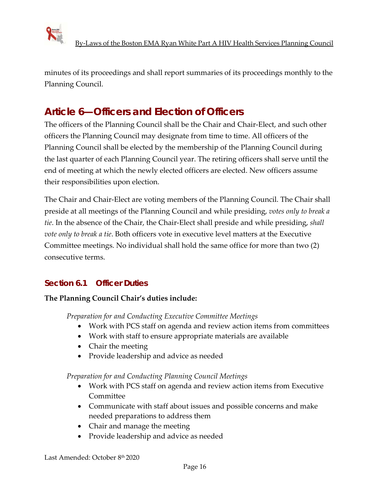

minutes of its proceedings and shall report summaries of its proceedings monthly to the Planning Council.

# **Article 6—Officers and Election of Officers**

The officers of the Planning Council shall be the Chair and Chair-Elect, and such other officers the Planning Council may designate from time to time. All officers of the Planning Council shall be elected by the membership of the Planning Council during the last quarter of each Planning Council year. The retiring officers shall serve until the end of meeting at which the newly elected officers are elected. New officers assume their responsibilities upon election.

The Chair and Chair-Elect are voting members of the Planning Council. The Chair shall preside at all meetings of the Planning Council and while presiding, *votes only to break a tie*. In the absence of the Chair, the Chair-Elect shall preside and while presiding, *shall vote only to break a tie*. Both officers vote in executive level matters at the Executive Committee meetings. No individual shall hold the same office for more than two (2) consecutive terms.

## **Section 6.1 Officer Duties**

#### **The Planning Council Chair's duties include:**

*Preparation for and Conducting Executive Committee Meetings*

- Work with PCS staff on agenda and review action items from committees
- Work with staff to ensure appropriate materials are available
- Chair the meeting
- Provide leadership and advice as needed

*Preparation for and Conducting Planning Council Meetings*

- Work with PCS staff on agenda and review action items from Executive Committee
- Communicate with staff about issues and possible concerns and make needed preparations to address them
- Chair and manage the meeting
- Provide leadership and advice as needed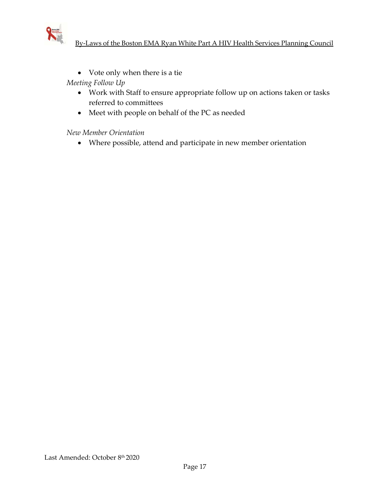

• Vote only when there is a tie

*Meeting Follow Up*

- Work with Staff to ensure appropriate follow up on actions taken or tasks referred to committees
- Meet with people on behalf of the PC as needed

*New Member Orientation* 

• Where possible, attend and participate in new member orientation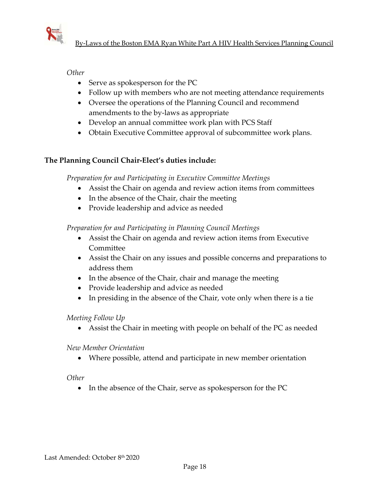

*Other*

- Serve as spokesperson for the PC
- Follow up with members who are not meeting attendance requirements
- Oversee the operations of the Planning Council and recommend amendments to the by-laws as appropriate
- Develop an annual committee work plan with PCS Staff
- Obtain Executive Committee approval of subcommittee work plans.

#### **The Planning Council Chair-Elect's duties include:**

*Preparation for and Participating in Executive Committee Meetings*

- Assist the Chair on agenda and review action items from committees
- In the absence of the Chair, chair the meeting
- Provide leadership and advice as needed

*Preparation for and Participating in Planning Council Meetings*

- Assist the Chair on agenda and review action items from Executive Committee
- Assist the Chair on any issues and possible concerns and preparations to address them
- In the absence of the Chair, chair and manage the meeting
- Provide leadership and advice as needed
- In presiding in the absence of the Chair, vote only when there is a tie

#### *Meeting Follow Up*

• Assist the Chair in meeting with people on behalf of the PC as needed

*New Member Orientation* 

• Where possible, attend and participate in new member orientation

#### *Other*

• In the absence of the Chair, serve as spokesperson for the PC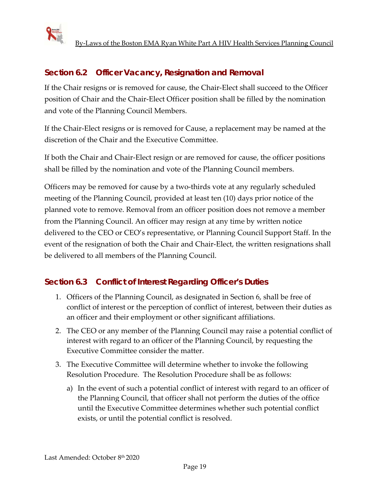

## **Section 6.2 Officer Vacancy, Resignation and Removal**

If the Chair resigns or is removed for cause, the Chair-Elect shall succeed to the Officer position of Chair and the Chair-Elect Officer position shall be filled by the nomination and vote of the Planning Council Members.

If the Chair-Elect resigns or is removed for Cause, a replacement may be named at the discretion of the Chair and the Executive Committee.

If both the Chair and Chair-Elect resign or are removed for cause, the officer positions shall be filled by the nomination and vote of the Planning Council members.

Officers may be removed for cause by a two-thirds vote at any regularly scheduled meeting of the Planning Council, provided at least ten (10) days prior notice of the planned vote to remove. Removal from an officer position does not remove a member from the Planning Council. An officer may resign at any time by written notice delivered to the CEO or CEO's representative, or Planning Council Support Staff. In the event of the resignation of both the Chair and Chair-Elect, the written resignations shall be delivered to all members of the Planning Council.

#### **Section 6.3 Conflict of Interest Regarding Officer's Duties**

- 1. Officers of the Planning Council, as designated in Section 6, shall be free of conflict of interest or the perception of conflict of interest, between their duties as an officer and their employment or other significant affiliations.
- 2. The CEO or any member of the Planning Council may raise a potential conflict of interest with regard to an officer of the Planning Council, by requesting the Executive Committee consider the matter.
- 3. The Executive Committee will determine whether to invoke the following Resolution Procedure. The Resolution Procedure shall be as follows:
	- a) In the event of such a potential conflict of interest with regard to an officer of the Planning Council, that officer shall not perform the duties of the office until the Executive Committee determines whether such potential conflict exists, or until the potential conflict is resolved.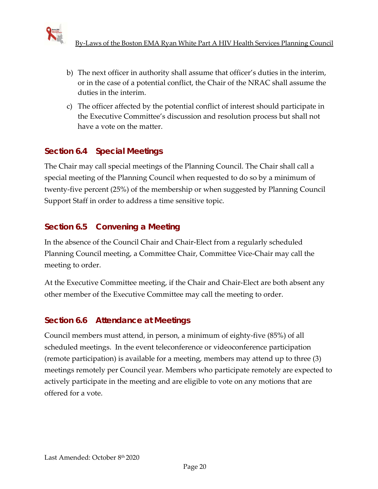

- b) The next officer in authority shall assume that officer's duties in the interim, or in the case of a potential conflict, the Chair of the NRAC shall assume the duties in the interim.
- c) The officer affected by the potential conflict of interest should participate in the Executive Committee's discussion and resolution process but shall not have a vote on the matter.

## **Section 6.4 Special Meetings**

The Chair may call special meetings of the Planning Council. The Chair shall call a special meeting of the Planning Council when requested to do so by a minimum of twenty-five percent (25%) of the membership or when suggested by Planning Council Support Staff in order to address a time sensitive topic.

## **Section 6.5 Convening a Meeting**

In the absence of the Council Chair and Chair-Elect from a regularly scheduled Planning Council meeting, a Committee Chair, Committee Vice-Chair may call the meeting to order.

At the Executive Committee meeting, if the Chair and Chair-Elect are both absent any other member of the Executive Committee may call the meeting to order.

## **Section 6.6 Attendance at Meetings**

Council members must attend, in person, a minimum of eighty-five (85%) of all scheduled meetings. In the event teleconference or videoconference participation (remote participation) is available for a meeting, members may attend up to three (3) meetings remotely per Council year. Members who participate remotely are expected to actively participate in the meeting and are eligible to vote on any motions that are offered for a vote.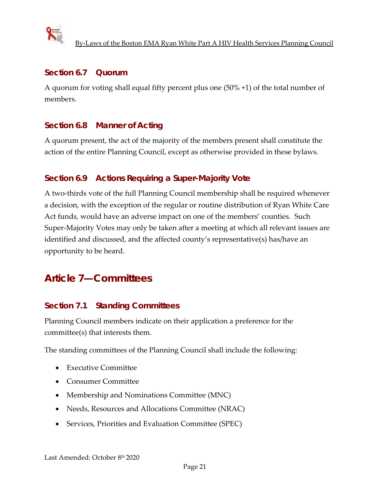

#### **Section 6.7 Quorum**

A quorum for voting shall equal fifty percent plus one (50% +1) of the total number of members.

#### **Section 6.8 Manner of Acting**

A quorum present, the act of the majority of the members present shall constitute the action of the entire Planning Council, except as otherwise provided in these bylaws.

#### **Section 6.9 Actions Requiring a Super-Majority Vote**

A two-thirds vote of the full Planning Council membership shall be required whenever a decision, with the exception of the regular or routine distribution of Ryan White Care Act funds*,* would have an adverse impact on one of the members' counties. Such Super-Majority Votes may only be taken after a meeting at which all relevant issues are identified and discussed, and the affected county's representative(s) has/have an opportunity to be heard.

# **Article 7—Committees**

#### **Section 7.1 Standing Committees**

Planning Council members indicate on their application a preference for the committee(s) that interests them.

The standing committees of the Planning Council shall include the following:

- Executive Committee
- Consumer Committee
- Membership and Nominations Committee (MNC)
- Needs, Resources and Allocations Committee (NRAC)
- Services, Priorities and Evaluation Committee (SPEC)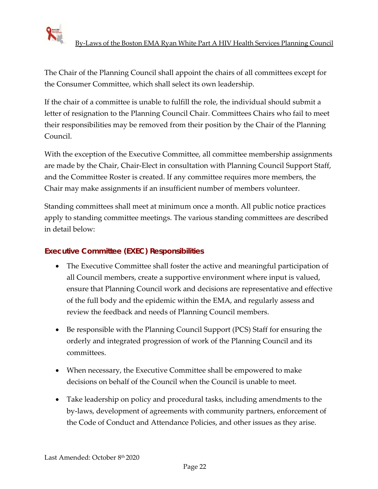

The Chair of the Planning Council shall appoint the chairs of all committees except for the Consumer Committee, which shall select its own leadership.

If the chair of a committee is unable to fulfill the role, the individual should submit a letter of resignation to the Planning Council Chair. Committees Chairs who fail to meet their responsibilities may be removed from their position by the Chair of the Planning Council.

With the exception of the Executive Committee, all committee membership assignments are made by the Chair, Chair-Elect in consultation with Planning Council Support Staff, and the Committee Roster is created. If any committee requires more members, the Chair may make assignments if an insufficient number of members volunteer.

Standing committees shall meet at minimum once a month. All public notice practices apply to standing committee meetings. The various standing committees are described in detail below:

#### **Executive Committee (EXEC) Responsibilities**

- The Executive Committee shall foster the active and meaningful participation of all Council members, create a supportive environment where input is valued, ensure that Planning Council work and decisions are representative and effective of the full body and the epidemic within the EMA, and regularly assess and review the feedback and needs of Planning Council members.
- Be responsible with the Planning Council Support (PCS) Staff for ensuring the orderly and integrated progression of work of the Planning Council and its committees.
- When necessary, the Executive Committee shall be empowered to make decisions on behalf of the Council when the Council is unable to meet.
- Take leadership on policy and procedural tasks, including amendments to the by-laws, development of agreements with community partners, enforcement of the Code of Conduct and Attendance Policies, and other issues as they arise.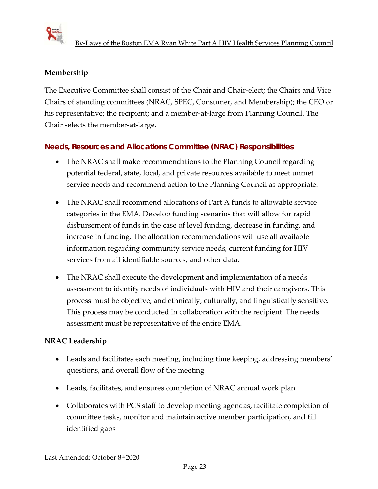

## **Membership**

The Executive Committee shall consist of the Chair and Chair-elect; the Chairs and Vice Chairs of standing committees (NRAC, SPEC, Consumer, and Membership); the CEO or his representative; the recipient; and a member-at-large from Planning Council. The Chair selects the member-at-large.

#### **Needs, Resources and Allocations Committee (NRAC) Responsibilities**

- The NRAC shall make recommendations to the Planning Council regarding potential federal, state, local, and private resources available to meet unmet service needs and recommend action to the Planning Council as appropriate.
- The NRAC shall recommend allocations of Part A funds to allowable service categories in the EMA. Develop funding scenarios that will allow for rapid disbursement of funds in the case of level funding, decrease in funding, and increase in funding. The allocation recommendations will use all available information regarding community service needs, current funding for HIV services from all identifiable sources, and other data.
- The NRAC shall execute the development and implementation of a needs assessment to identify needs of individuals with HIV and their caregivers. This process must be objective, and ethnically, culturally, and linguistically sensitive. This process may be conducted in collaboration with the recipient. The needs assessment must be representative of the entire EMA.

#### **NRAC Leadership**

- Leads and facilitates each meeting, including time keeping, addressing members' questions, and overall flow of the meeting
- Leads, facilitates, and ensures completion of NRAC annual work plan
- Collaborates with PCS staff to develop meeting agendas, facilitate completion of committee tasks, monitor and maintain active member participation, and fill identified gaps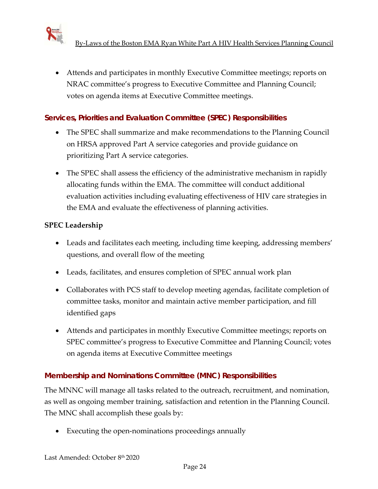• Attends and participates in monthly Executive Committee meetings; reports on NRAC committee's progress to Executive Committee and Planning Council; votes on agenda items at Executive Committee meetings.

#### **Services, Priorities and Evaluation Committee (SPEC) Responsibilities**

- The SPEC shall summarize and make recommendations to the Planning Council on HRSA approved Part A service categories and provide guidance on prioritizing Part A service categories.
- The SPEC shall assess the efficiency of the administrative mechanism in rapidly allocating funds within the EMA. The committee will conduct additional evaluation activities including evaluating effectiveness of HIV care strategies in the EMA and evaluate the effectiveness of planning activities.

#### **SPEC Leadership**

- Leads and facilitates each meeting, including time keeping, addressing members' questions, and overall flow of the meeting
- Leads, facilitates, and ensures completion of SPEC annual work plan
- Collaborates with PCS staff to develop meeting agendas, facilitate completion of committee tasks, monitor and maintain active member participation, and fill identified gaps
- Attends and participates in monthly Executive Committee meetings; reports on SPEC committee's progress to Executive Committee and Planning Council; votes on agenda items at Executive Committee meetings

#### **Membership and Nominations Committee (MNC) Responsibilities**

The MNNC will manage all tasks related to the outreach, recruitment, and nomination, as well as ongoing member training, satisfaction and retention in the Planning Council. The MNC shall accomplish these goals by:

• Executing the open-nominations proceedings annually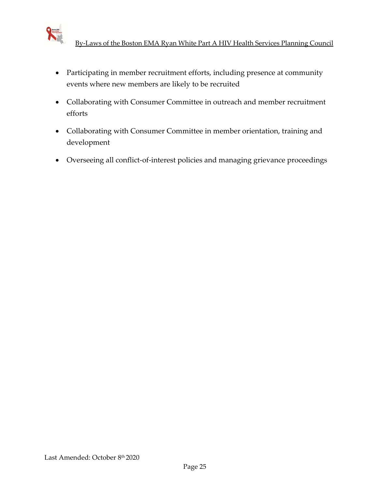

- Participating in member recruitment efforts, including presence at community events where new members are likely to be recruited
- Collaborating with Consumer Committee in outreach and member recruitment efforts
- Collaborating with Consumer Committee in member orientation, training and development
- Overseeing all conflict-of-interest policies and managing grievance proceedings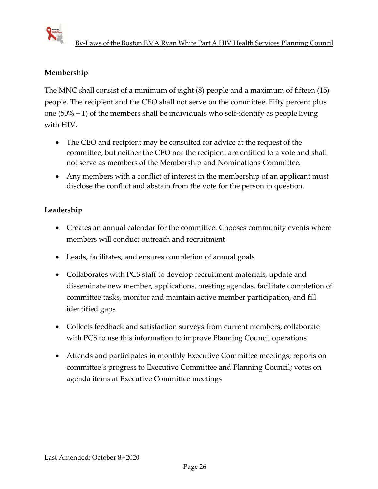

## **Membership**

The MNC shall consist of a minimum of eight (8) people and a maximum of fifteen (15) people. The recipient and the CEO shall not serve on the committee. Fifty percent plus one  $(50\% + 1)$  of the members shall be individuals who self-identify as people living with HIV.

- The CEO and recipient may be consulted for advice at the request of the committee, but neither the CEO nor the recipient are entitled to a vote and shall not serve as members of the Membership and Nominations Committee.
- Any members with a conflict of interest in the membership of an applicant must disclose the conflict and abstain from the vote for the person in question.

#### **Leadership**

- Creates an annual calendar for the committee. Chooses community events where members will conduct outreach and recruitment
- Leads, facilitates, and ensures completion of annual goals
- Collaborates with PCS staff to develop recruitment materials, update and disseminate new member, applications, meeting agendas, facilitate completion of committee tasks, monitor and maintain active member participation, and fill identified gaps
- Collects feedback and satisfaction surveys from current members; collaborate with PCS to use this information to improve Planning Council operations
- Attends and participates in monthly Executive Committee meetings; reports on committee's progress to Executive Committee and Planning Council; votes on agenda items at Executive Committee meetings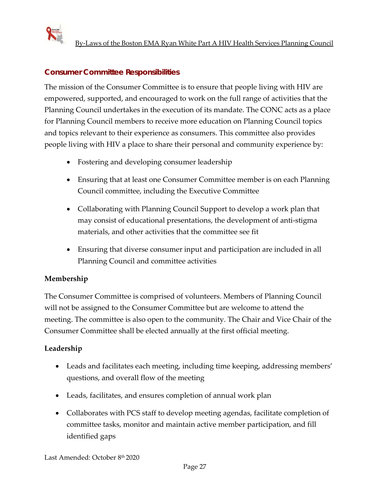

### **Consumer Committee Responsibilities**

The mission of the Consumer Committee is to ensure that people living with HIV are empowered, supported, and encouraged to work on the full range of activities that the Planning Council undertakes in the execution of its mandate. The CONC acts as a place for Planning Council members to receive more education on Planning Council topics and topics relevant to their experience as consumers. This committee also provides people living with HIV a place to share their personal and community experience by:

- Fostering and developing consumer leadership
- Ensuring that at least one Consumer Committee member is on each Planning Council committee, including the Executive Committee
- Collaborating with Planning Council Support to develop a work plan that may consist of educational presentations, the development of anti-stigma materials, and other activities that the committee see fit
- Ensuring that diverse consumer input and participation are included in all Planning Council and committee activities

#### **Membership**

The Consumer Committee is comprised of volunteers. Members of Planning Council will not be assigned to the Consumer Committee but are welcome to attend the meeting. The committee is also open to the community. The Chair and Vice Chair of the Consumer Committee shall be elected annually at the first official meeting.

#### **Leadership**

- Leads and facilitates each meeting, including time keeping, addressing members' questions, and overall flow of the meeting
- Leads, facilitates, and ensures completion of annual work plan
- Collaborates with PCS staff to develop meeting agendas, facilitate completion of committee tasks, monitor and maintain active member participation, and fill identified gaps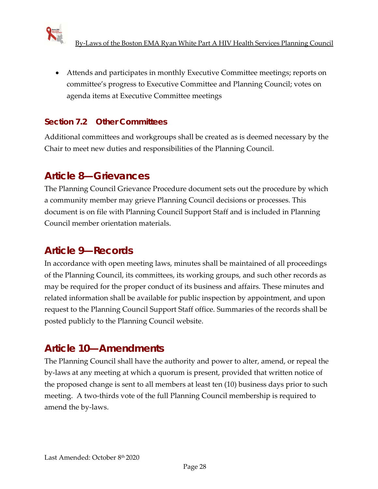

• Attends and participates in monthly Executive Committee meetings; reports on committee's progress to Executive Committee and Planning Council; votes on agenda items at Executive Committee meetings

## **Section 7.2 Other Committees**

Additional committees and workgroups shall be created as is deemed necessary by the Chair to meet new duties and responsibilities of the Planning Council.

# **Article 8—Grievances**

The Planning Council Grievance Procedure document sets out the procedure by which a community member may grieve Planning Council decisions or processes. This document is on file with Planning Council Support Staff and is included in Planning Council member orientation materials.

# **Article 9—Records**

In accordance with open meeting laws, minutes shall be maintained of all proceedings of the Planning Council, its committees, its working groups, and such other records as may be required for the proper conduct of its business and affairs. These minutes and related information shall be available for public inspection by appointment, and upon request to the Planning Council Support Staff office. Summaries of the records shall be posted publicly to the Planning Council website.

# **Article 10—Amendments**

The Planning Council shall have the authority and power to alter, amend, or repeal the by-laws at any meeting at which a quorum is present, provided that written notice of the proposed change is sent to all members at least ten (10) business days prior to such meeting. A two-thirds vote of the full Planning Council membership is required to amend the by-laws.